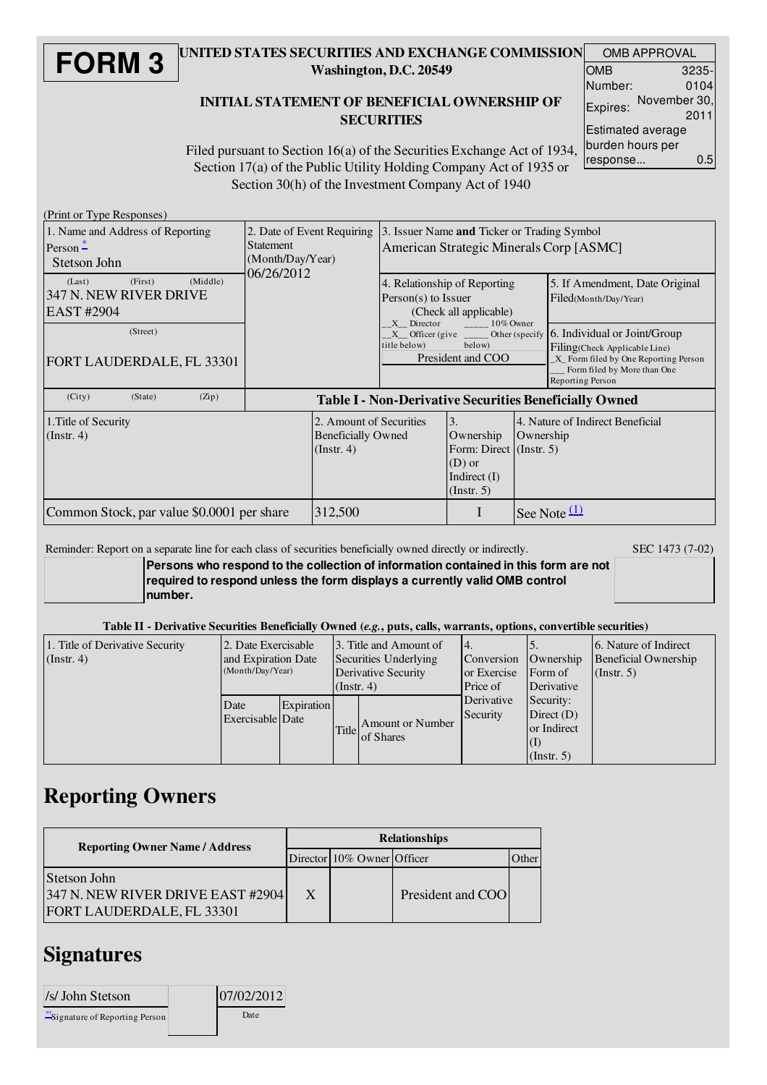#### **FORM 3** UNITED STATES SECURITIES AND EXCHANGE COMMISSION Washington, D.C. 20549

### INITIAL STATEMENT OF BENEFICIAL OWNERSHIP OF **SECURITIES**

| <b>OMB APPROVAL</b> |                      |  |  |  |  |
|---------------------|----------------------|--|--|--|--|
| OMB                 | 3235-                |  |  |  |  |
| Number:             | 0104                 |  |  |  |  |
| Expires:            | November 30,<br>2011 |  |  |  |  |
|                     | Estimated average    |  |  |  |  |
| burden hours per    |                      |  |  |  |  |
| response            | 0.5                  |  |  |  |  |

Filed pursuant to Section 16(a) of the Securities Exchange Act of 1934, Section 17(a) of the Public Utility Holding Company Act of 1935 or Section 30(h) of the Investment Company Act of 1940

(Print or Type Responses)

| 1. Name and Address of Reporting<br>Person $\frac{*}{-}$<br>Stetson John | 2. Date of Event Requiring<br><b>Statement</b><br>(Month/Day/Year) |                                                                    | 3. Issuer Name and Ticker or Trading Symbol<br>American Strategic Minerals Corp [ASMC] |                                                                                              |           |                                                                                                                                                                                                                               |
|--------------------------------------------------------------------------|--------------------------------------------------------------------|--------------------------------------------------------------------|----------------------------------------------------------------------------------------|----------------------------------------------------------------------------------------------|-----------|-------------------------------------------------------------------------------------------------------------------------------------------------------------------------------------------------------------------------------|
| (Middle)<br>(First)<br>(Last)<br>347 N. NEW RIVER DRIVE<br>EAST #2904    | 06/26/2012                                                         |                                                                    | 4. Relationship of Reporting<br>$Person(s)$ to Issuer<br>(Check all applicable)        |                                                                                              |           | 5. If Amendment, Date Original<br>Filed(Month/Day/Year)                                                                                                                                                                       |
| (Street)<br>FORT LAUDERDALE, FL 33301                                    |                                                                    |                                                                    | $X$ Director $10\%$ Owner<br>title below)<br>below)<br>President and COO               |                                                                                              |           | $X_{\text{inter}}$ Officer (give $\frac{1}{\sqrt{2}}$ Other (specify 6. Individual or Joint/Group<br>Filing(Check Applicable Line)<br>X Form filed by One Reporting Person<br>Form filed by More than One<br>Reporting Person |
| (City)<br>(State)<br>(Zip)                                               | <b>Table I - Non-Derivative Securities Beneficially Owned</b>      |                                                                    |                                                                                        |                                                                                              |           |                                                                                                                                                                                                                               |
| 1. Title of Security<br>$($ Instr. 4 $)$                                 |                                                                    | 2. Amount of Securities<br><b>Beneficially Owned</b><br>(Instr. 4) |                                                                                        | 3.<br>Ownership<br>Form: Direct (Instr. 5)<br>$(D)$ or<br>Indirect $(I)$<br>$($ Instr. 5 $)$ | Ownership | 4. Nature of Indirect Beneficial                                                                                                                                                                                              |
| Common Stock, par value \$0.0001 per share                               |                                                                    | 312,500                                                            |                                                                                        |                                                                                              |           | See Note $(1)$                                                                                                                                                                                                                |

Reminder: Report on a separate line for each class of securities beneficially owned directly or indirectly. SEC 1473 (7-02)

**Persons who respond to the collection of information contained in this form are not required to respond unless the form displays a currently valid OMB control number.**

#### Table II - Derivative Securities Beneficially Owned (*e.g.*, puts, calls, warrants, options, convertible securities)

| 1. Title of Derivative Security<br>$($ Instr. 4) | 2. Date Exercisable<br>and Expiration Date<br>(Month/Day/Year) |            | 3. Title and Amount of<br>Securities Underlying<br>Derivative Security<br>(Instr. 4) |                               | $\mathsf{I}4.$<br>Conversion<br>or Exercise<br><b>Price of</b>                                       | Ownership<br>Form of<br>Derivative | 16. Nature of Indirect<br>Beneficial Ownership<br>$($ Instr. 5 $)$ |
|--------------------------------------------------|----------------------------------------------------------------|------------|--------------------------------------------------------------------------------------|-------------------------------|------------------------------------------------------------------------------------------------------|------------------------------------|--------------------------------------------------------------------|
|                                                  | Date<br>Exercisable Date                                       | Expiration | <b>Title</b>                                                                         | Amount or Number<br>of Shares | Derivative<br>Security:<br>Direct $(D)$<br>Security<br>or Indirect<br>$\vert(1)$<br>$($ Instr. 5 $)$ |                                    |                                                                    |

### Reporting Owners

| <b>Reporting Owner Name / Address</b>                                          |   | <b>Relationships</b>       |                   |      |  |  |  |
|--------------------------------------------------------------------------------|---|----------------------------|-------------------|------|--|--|--|
|                                                                                |   | Director 10% Owner Officer |                   | ther |  |  |  |
| Stetson John<br>347 N. NEW RIVER DRIVE EAST #2904<br>FORT LAUDERDALE, FL 33301 | X |                            | President and COO |      |  |  |  |

## **Signatures**

| /s/ John Stetson                       | 07/02/2012 |  |  |
|----------------------------------------|------------|--|--|
| <i>i</i> signature of Reporting Person | Date       |  |  |